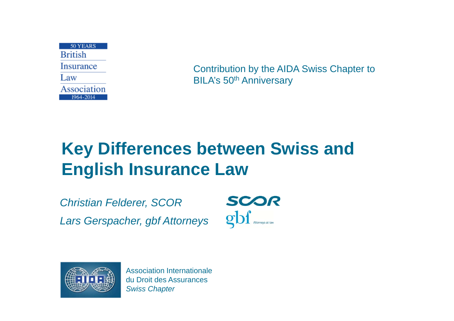50 YEARS **Rritish Insurance** Law Association 1964-2014

Contribution by the AIDA Swiss Chapter to BILA's 50<sup>th</sup> Anniversary

# **Key Differences between Swiss and English Insurance Law**

*Christian Felderer, SCOR Lars Gerspacher, gbf Attorneys*

SCOR gbf Attorneys-at-law

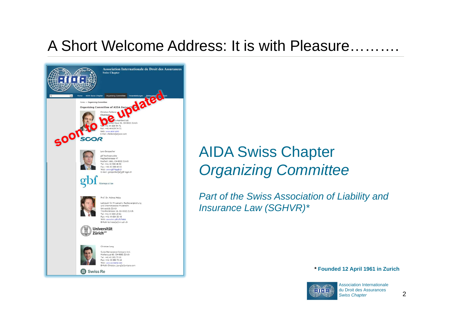#### A Short Welcome Address: It is with Pleasure……….



## AIDA Swiss Chapter *Organizing Committee*

*Part of the Swiss Association of Liability and Insurance Law (SGHVR)\**

**\* Founded 12 April 1961 in Zurich**

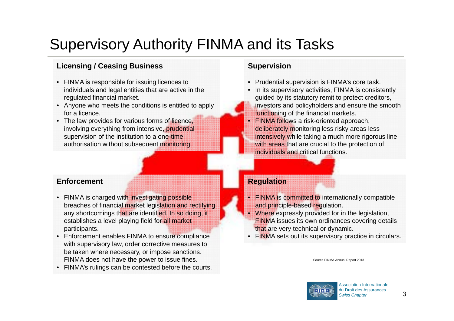# Supervisory Authority FINMA and its Tasks

#### **Licensing / Ceasing Business**

- FINMA is responsible for issuing licences to individuals and legal entities that are active in the regulated financial market.
- Anyone who meets the conditions is entitled to apply for a licence.
- The law provides for various forms of licence, involving everything from intensive, prudential supervision of the institution to a one-time authorisation without subsequent monitoring.

#### **Enforcement**

- FINMA is charged with investigating possible breaches of financial market legislation and rectifying any shortcomings that are identified. In so doing, it establishes a level playing field for all market participants.
- Enforcement enables FINMA to ensure compliance with supervisory law, order corrective measures to be taken where necessary, or impose sanctions. FINMA does not have the power to issue fines.
- FINMA's rulings can be contested before the courts.

#### **Supervision**

- Prudential supervision is FINMA's core task.
- In its supervisory activities, FINMA is consistently guided by its statutory remit to protect creditors, investors and policyholders and ensure the smooth functioning of the financial markets.
- FINMA follows a risk-oriented approach, deliberately monitoring less risky areas less intensively while taking a much more rigorous line with areas that are crucial to the protection of individuals and critical functions.

#### **Regulation**

- FINMA is committed to internationally compatible and principle-based regulation.
- •Where expressly provided for in the legislation, FINMA issues its own ordinances covering details that are very technical or dynamic.
- FINMA sets out its supervisory practice in circulars.

#### Source FINMA Annual Report 2013

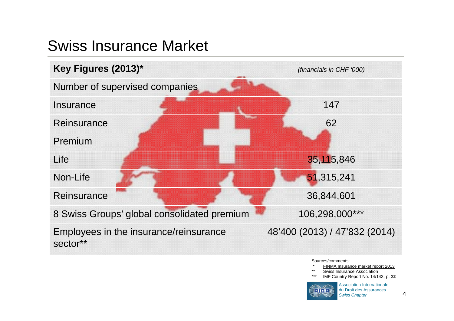## Swiss Insurance Market



Sources/comments:

- FINMA Insurance market report 2013
- \*\* Swiss Insurance Association
- \*\*\*IMF Country Report No. 14/143, p. 3**2**

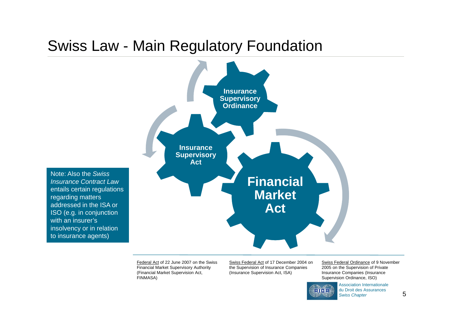#### Swiss Law - Main Regulatory Foundation



Note: Also the *Swiss Insurance Contract Law* entails certain regulations regarding matters addressed in the ISA orISO (e.g. in conjunction with an insurer'sinsolvency or in relation to insurance agents)

> Federal Act of 22 June 2007 on the Swiss Financial Market Supervisory Authority (Financial Market Supervision Act, FINMASA)

Swiss Federal Act of 17 December 2004 on the Supervision of Insurance Companies (Insurance Supervision Act, ISA)

Swiss Federal Ordinance of 9 November 2005 on the Supervision of Private Insurance Companies (Insurance Supervision Ordinance, ISO)



Association Internationale du Droit des Assurances *Swiss Chapter*

5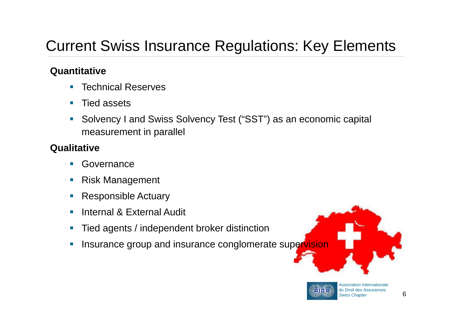## Current Swiss Insurance Regulations: Key Elements

#### **Quantitative**

- $\overline{\phantom{a}}$ Technical Reserves
- $\overline{\mathbb{R}}$ Tied assets
- $\mathcal{C}$  Solvency I and Swiss Solvency Test ("SST") as an economic capital measurement in parallel

#### **Qualitative**

- $\overline{\mathbb{R}}$ Governance
- $\mathcal{C}$ Risk Management
- $\overline{\phantom{a}}$ Responsible Actuary
- п Internal & External Audit
- $\mathcal{C}_{\mathcal{A}}$ Tied agents / independent broker distinction
- $\mathcal{C}$ Insurance group and insurance conglomerate supervision



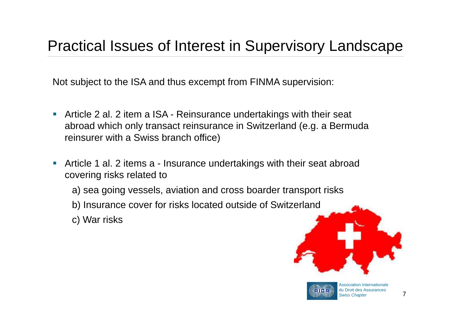#### Practical Issues of Interest in Supervisory Landscape

Not subject to the ISA and thus excempt from FINMA supervision:

- Article 2 al. 2 item a ISA Reinsurance undertakings with their seat abroad which only transact reinsurance in Switzerland (e.g. a Bermuda reinsurer with a Swiss branch office)
- Article 1 al. 2 items a Insurance undertakings with their seat abroad covering risks related to
	- a) sea going vessels, aviation and cross boarder transport risks
	- b) Insurance cover for risks located outside of Switzerland
	- c) War risks



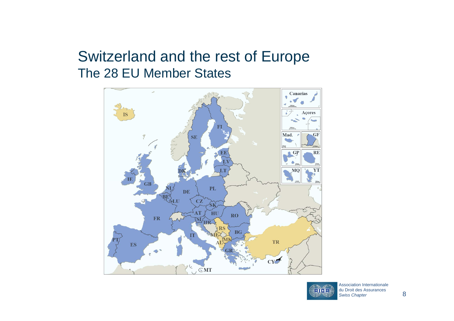#### Switzerland and the rest of Europe The 28 EU Member States



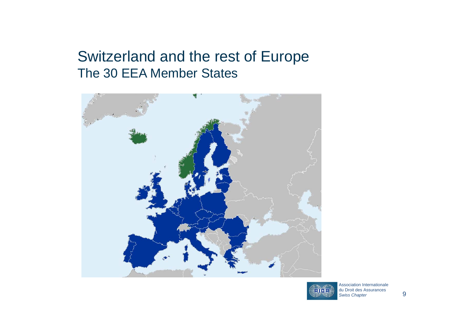#### Switzerland and the rest of Europe The 30 EEA Member States



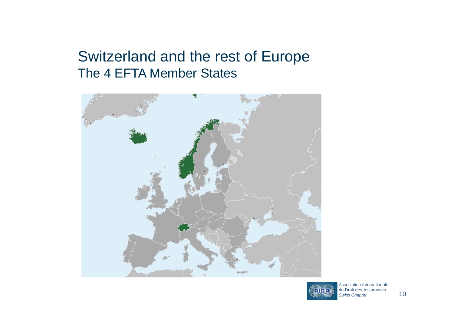#### Switzerland and the rest of Europe The 4 EFTA Member States



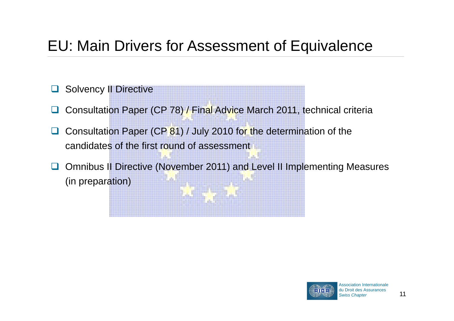# EU: Main Drivers for Assessment of Equivalence

- $\Box$ Solvency II Directive
- $\Box$ Consultation Paper (CP 78) / Final Advice March 2011, technical criteria
- $\Box$  Consultation Paper (CP 81) / July 2010 for the determination of the candidates of the first round of assessment
- $\Box$  Omnibus II Directive (November 2011) and Level II Implementing Measures (in preparation)

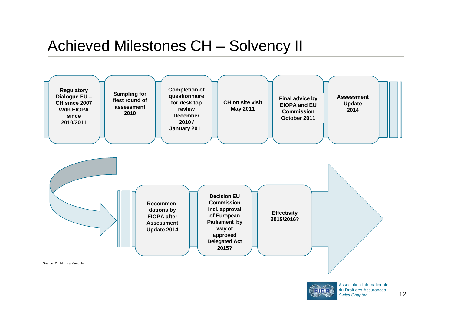#### Achieved Milestones CH – Solvency II



12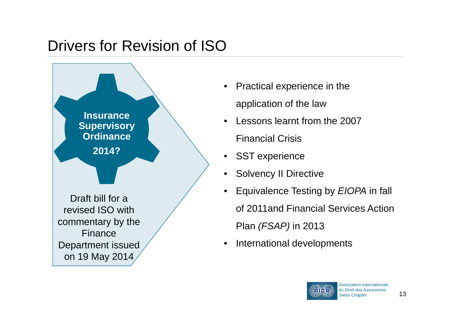## Drivers for Revision of ISO



- Practical experience in the application of the law
- • Lessons learnt from the 2007
	- Financial Crisis
- •SST experience
- Solvency II Directive
- Equivalence Testing by *EIOPA* in fall of 2011and Financial Services Action Plan *(FSAP)* in 2013
- $\bullet$ International developments

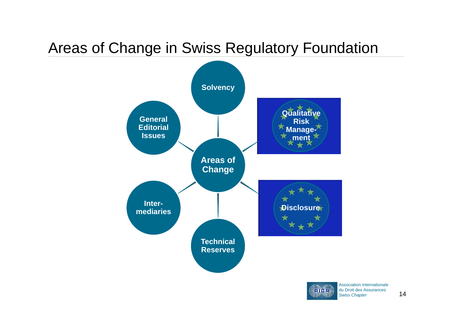## Areas of Change in Swiss Regulatory Foundation



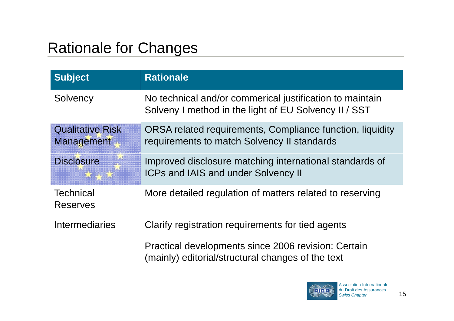# Rationale for Changes

| <b>Subject</b>                        | <b>Rationale</b>                                                                                                  |
|---------------------------------------|-------------------------------------------------------------------------------------------------------------------|
| Solvency                              | No technical and/or commerical justification to maintain<br>Solveny I method in the light of EU Solvency II / SST |
| <b>Qualitative Risk</b><br>Management | ORSA related requirements, Compliance function, liquidity<br>requirements to match Solvency II standards          |
| <b>Disclosure</b>                     | Improved disclosure matching international standards of<br><b>ICPs and IAIS and under Solvency II</b>             |
| <b>Technical</b><br><b>Reserves</b>   | More detailed regulation of matters related to reserving                                                          |
| Intermediaries                        | Clarify registration requirements for tied agents                                                                 |
|                                       | Practical developments since 2006 revision: Certain<br>(mainly) editorial/structural changes of the text          |

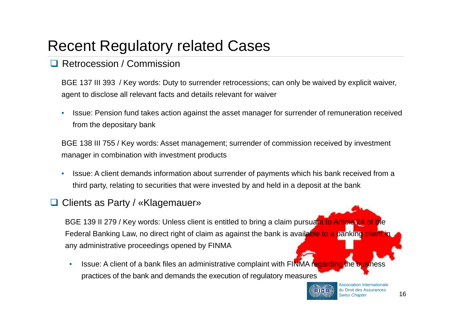#### Recent Regulatory related Cases

#### **Q** Retrocession / Commission

BGE 137 III 393 / Key words: Duty to surrender retrocessions; can only be waived by explicit waiver, agent to disclose all relevant facts and details relevant for waiver

• Issue: Pension fund takes action against the asset manager for surrender of remuneration received from the depositary bank

BGE 138 III 755 / Key words: Asset management; surrender of commission received by investment manager in combination with investment products

• Issue: A client demands information about surrender of payments which his bank received from a third party, relating to securities that were invested by and held in a deposit at the bank

#### **□ Clients as Party / «Klagemauer»**

BGE 139 II 279 / Key words: Unless client is entitled to bring a claim pursuant to Article 24 of the Federal Banking Law, no direct right of claim as against the bank is available to a banking client in any administrative proceedings opened by FINMA

• Issue: A client of a bank files an administrative complaint with FINMA regarding the business practices of the bank and demands the execution of regulatory measures

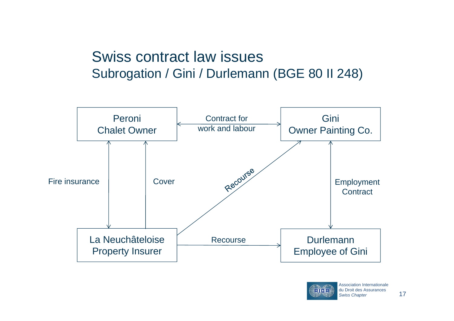#### Swiss contract law issues Subrogation / Gini / Durlemann (BGE 80 II 248)



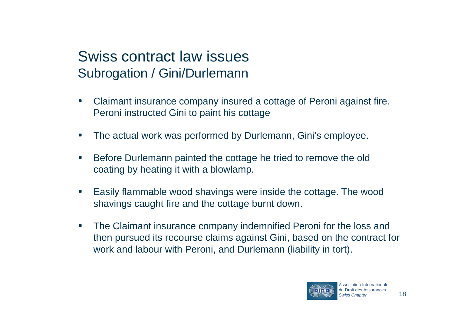- • Claimant insurance company insured a cottage of Peroni against fire. Peroni instructed Gini to paint his cottage
- •The actual work was performed by Durlemann, Gini's employee.
- • Before Durlemann painted the cottage he tried to remove the old coating by heating it with a blowlamp.
- • Easily flammable wood shavings were inside the cottage. The wood shavings caught fire and the cottage burnt down.
- • The Claimant insurance company indemnified Peroni for the loss and then pursued its recourse claims against Gini, based on the contract for work and labour with Peroni, and Durlemann (liability in tort).

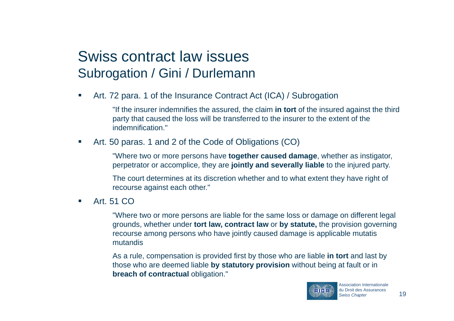•Art. 72 para. 1 of the Insurance Contract Act (ICA) / Subrogation

> "If the insurer indemnifies the assured, the claim **in tort** of the insured against the third party that caused the loss will be transferred to the insurer to the extent of the indemnification."

•Art. 50 paras. 1 and 2 of the Code of Obligations (CO)

> "Where two or more persons have **together caused damage**, whether as instigator, perpetrator or accomplice, they are **jointly and severally liable** to the injured party.

The court determines at its discretion whether and to what extent they have right of recourse against each other."

•Art. 51 CO

> "Where two or more persons are liable for the same loss or damage on different legal grounds, whether under **tort law, contract law** or **by statute,** the provision governing recourse among persons who have jointly caused damage is applicable mutatis mutandis

As a rule, compensation is provided first by those who are liable **in tort** and last by those who are deemed liable **by statutory provision** without being at fault or in **breach of contractual obligation."** 

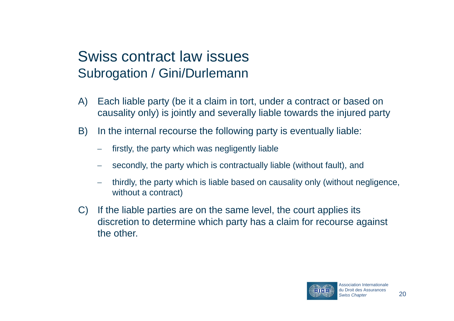- A) Each liable party (be it a claim in tort, under a contract or based on causality only) is jointly and severally liable towards the injured party
- B) In the internal recourse the following party is eventually liable:
	- \_\_ firstly, the party which was negligently liable
	- secondly, the party which is contractually liable (without fault), and
	- thirdly, the party which is liable based on causality only (without negligence, without a contract)
- C) If the liable parties are on the same level, the court applies its discretion to determine which party has a claim for recourse against the other.

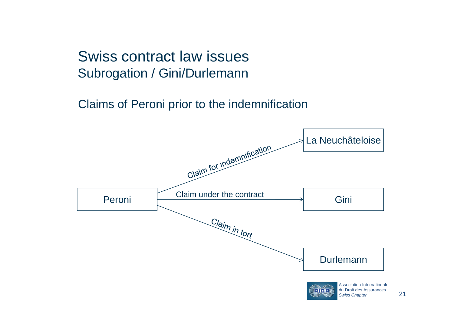Claims of Peroni prior to the indemnification

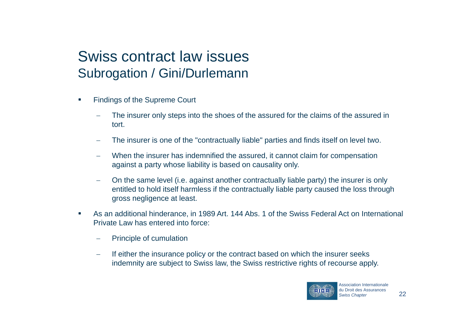- • Findings of the Supreme Court
	- The insurer only steps into the shoes of the assured for the claims of the assured in tort.
	- The insurer is one of the "contractually liable" parties and finds itself on level two.
	- When the insurer has indemnified the assured, it cannot claim for compensation against a party whose liability is based on causality only.
	- On the same level (i.e. against another contractually liable party) the insurer is only entitled to hold itself harmless if the contractually liable party caused the loss through gross negligence at least.
- • As an additional hinderance, in 1989 Art. 144 Abs. 1 of the Swiss Federal Act on International Private Law has entered into force:
	- Principle of cumulation
	- $\overline{\phantom{a}}$  If either the insurance policy or the contract based on which the insurer seeks indemnity are subject to Swiss law, the Swiss restrictive rights of recourse apply.

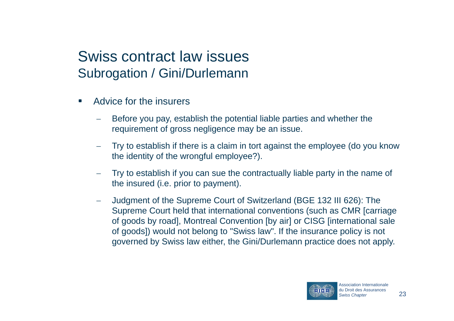- • Advice for the insurers
	- \_\_ Before you pay, establish the potential liable parties and whether the requirement of gross negligence may be an issue.
	- \_\_ Try to establish if there is a claim in tort against the employee (do you know the identity of the wrongful employee?).
	- Try to establish if you can sue the contractually liable party in the name of the insured (i.e. prior to payment).
	- \_\_ Judgment of the Supreme Court of Switzerland (BGE 132 III 626): The Supreme Court held that international conventions (such as CMR [carriage of goods by road], Montreal Convention [by air] or CISG [international sale of goods]) would not belong to "Swiss law". If the insurance policy is not governed by Swiss law either, the Gini/Durlemann practice does not apply.

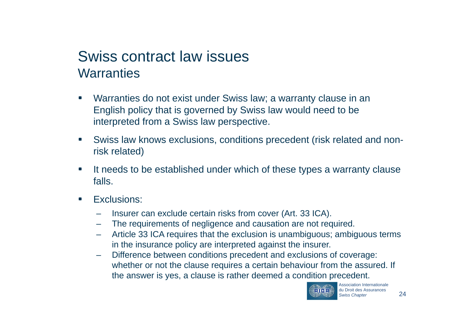#### Swiss contract law issues **Warranties**

- • Warranties do not exist under Swiss law; a warranty clause in an English policy that is governed by Swiss law would need to be interpreted from a Swiss law perspective.
- • Swiss law knows exclusions, conditions precedent (risk related and nonrisk related)
- • It needs to be established under which of these types a warranty clause falls.
- • Exclusions:
	- Insurer can exclude certain risks from cover (Art. 33 ICA).
	- The requirements of negligence and causation are not required.
	- Article 33 ICA requires that the exclusion is unambiguous; ambiguous terms in the insurance policy are interpreted against the insurer.
	- – Difference between conditions precedent and exclusions of coverage: whether or not the clause requires a certain behaviour from the assured. If the answer is yes, a clause is rather deemed a condition precedent.

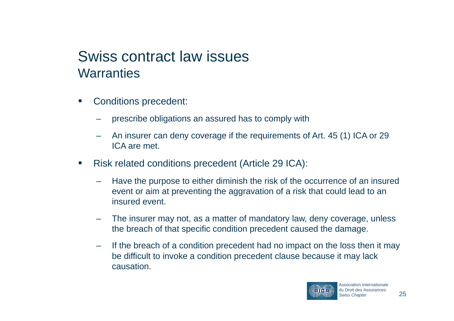#### Swiss contract law issues **Warranties**

- • Conditions precedent:
	- prescribe obligations an assured has to comply with
	- An insurer can deny coverage if the requirements of Art. 45 (1) ICA or 29 ICA are met.
- • Risk related conditions precedent (Article 29 ICA):
	- Have the purpose to either diminish the risk of the occurrence of an insured event or aim at preventing the aggravation of a risk that could lead to an insured event.
	- The insurer may not, as a matter of mandatory law, deny coverage, unless the breach of that specific condition precedent caused the damage.
	- – If the breach of a condition precedent had no impact on the loss then it may be difficult to invoke a condition precedent clause because it may lack causation.

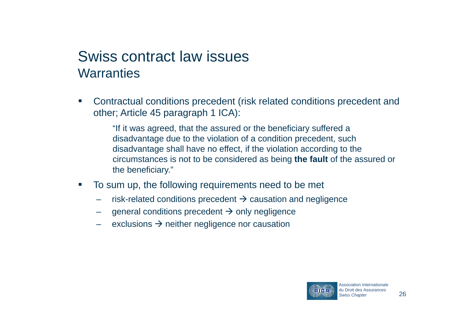#### Swiss contract law issues **Warranties**

• Contractual conditions precedent (risk related conditions precedent and other; Article 45 paragraph 1 ICA):

> "If it was agreed, that the assured or the beneficiary suffered a disadvantage due to the violation of a condition precedent, such disadvantage shall have no effect, if the violation according to the circumstances is not to be considered as being **the fault** of the assured or the beneficiary."

- • To sum up, the following requirements need to be met
	- risk-related conditions precedent  $\rightarrow$  causation and negligence
	- general conditions precedent  $\rightarrow$  only negligence
	- exclusions  $\rightarrow$  neither negligence nor causation

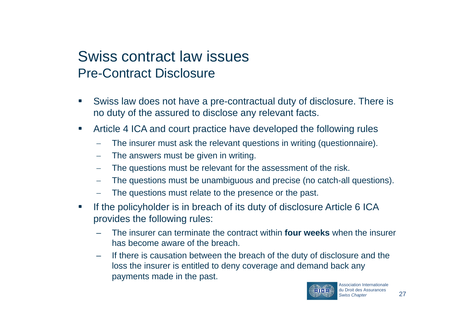#### Swiss contract law issues Pre-Contract Disclosure

- • Swiss law does not have a pre-contractual duty of disclosure. There is no duty of the assured to disclose any relevant facts.
- • Article 4 ICA and court practice have developed the following rules
	- \_\_ The insurer must ask the relevant questions in writing (questionnaire).
	- The answers must be given in writing.
	- \_\_ The questions must be relevant for the assessment of the risk.
	- The questions must be unambiguous and precise (no catch-all questions).
	- \_\_ The questions must relate to the presence or the past.
- • If the policyholder is in breach of its duty of disclosure Article 6 ICA provides the following rules:
	- The insurer can terminate the contract within **four weeks** when the insurer has become aware of the breach.
	- If there is causation between the breach of the duty of disclosure and the loss the insurer is entitled to deny coverage and demand back any payments made in the past.

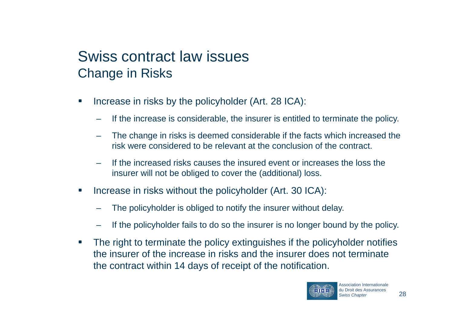#### Swiss contract law issues Change in Risks

- • Increase in risks by the policyholder (Art. 28 ICA):
	- If the increase is considerable, the insurer is entitled to terminate the policy.
	- The change in risks is deemed considerable if the facts which increased the risk were considered to be relevant at the conclusion of the contract.
	- If the increased risks causes the insured event or increases the loss theinsurer will not be obliged to cover the (additional) loss.
- • Increase in risks without the policyholder (Art. 30 ICA):
	- The policyholder is obliged to notify the insurer without delay.
	- If the policyholder fails to do so the insurer is no longer bound by the policy.
- • The right to terminate the policy extinguishes if the policyholder notifies the insurer of the increase in risks and the insurer does not terminatethe contract within 14 days of receipt of the notification.